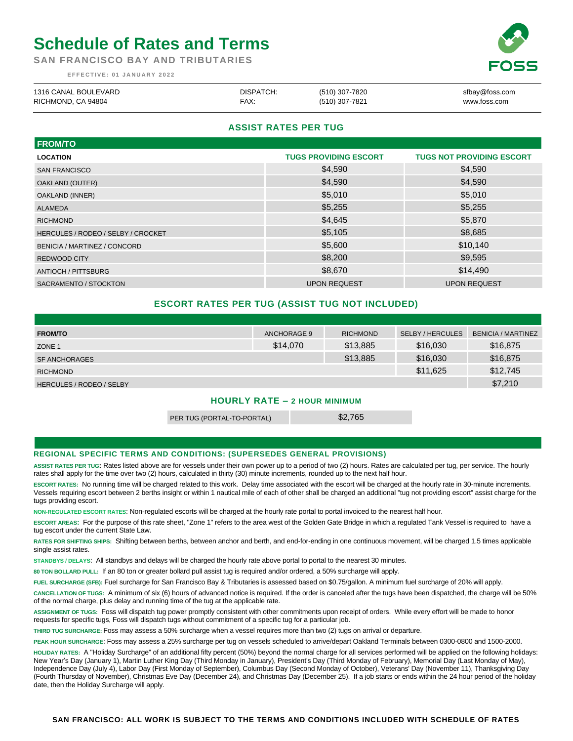# **Schedule of Rates and Terms**

**SAN FRANCISCO BAY AND TRIBUTARIES**

**E F F E C T I V E : 0 1 J A N U A R Y 2 0 2 2**

| 1316 CANAL BOULEVARD | DISPATCH: | (510) 307-7820 | sfbay@foss.com |
|----------------------|-----------|----------------|----------------|
| RICHMOND, CA 94804   | FAX:      | (510) 307-7821 | www.foss.com   |

# **ASSIST RATES PER TUG**

| <b>FROM/TO</b>                     |                              |                                  |
|------------------------------------|------------------------------|----------------------------------|
| <b>LOCATION</b>                    | <b>TUGS PROVIDING ESCORT</b> | <b>TUGS NOT PROVIDING ESCORT</b> |
| <b>SAN FRANCISCO</b>               | \$4,590                      | \$4,590                          |
| OAKLAND (OUTER)                    | \$4,590                      | \$4,590                          |
| OAKLAND (INNER)                    | \$5,010                      | \$5,010                          |
| <b>ALAMEDA</b>                     | \$5,255                      | \$5,255                          |
| <b>RICHMOND</b>                    | \$4,645                      | \$5,870                          |
| HERCULES / RODEO / SELBY / CROCKET | \$5,105                      | \$8,685                          |
| BENICIA / MARTINEZ / CONCORD       | \$5,600                      | \$10,140                         |
| <b>REDWOOD CITY</b>                | \$8,200                      | \$9,595                          |
| ANTIOCH / PITTSBURG                | \$8,670                      | \$14,490                         |
| SACRAMENTO / STOCKTON              | <b>UPON REQUEST</b>          | <b>UPON REQUEST</b>              |

# **ESCORT RATES PER TUG (ASSIST TUG NOT INCLUDED)**

| <b>FROM/TO</b>                  | ANCHORAGE 9 | <b>RICHMOND</b> | <b>SELBY / HERCULES</b> | <b>BENICIA / MARTINEZ</b> |
|---------------------------------|-------------|-----------------|-------------------------|---------------------------|
| ZONE <sub>1</sub>               | \$14,070    | \$13,885        | \$16,030                | \$16,875                  |
| <b>SF ANCHORAGES</b>            |             | \$13,885        | \$16,030                | \$16,875                  |
| <b>RICHMOND</b>                 |             |                 | \$11.625                | \$12,745                  |
| <b>HERCULES / RODEO / SELBY</b> |             |                 |                         | \$7,210                   |

## **HOURLY RATE – 2 HOUR MINIMUM**

PER TUG (PORTAL-TO-PORTAL) \$2,765

### **REGIONAL SPECIFIC TERMS AND CONDITIONS: (SUPERSEDES GENERAL PROVISIONS)**

**ASSIST RATES PER TUG:** Rates listed above are for vessels under their own power up to a period of two (2) hours. Rates are calculated per tug, per service. The hourly rates shall apply for the time over two (2) hours, calculated in thirty (30) minute increments, rounded up to the next half hour.

**ESCORT RATES:** No running time will be charged related to this work. Delay time associated with the escort will be charged at the hourly rate in 30-minute increments. Vessels requiring escort between 2 berths insight or within 1 nautical mile of each of other shall be charged an additional "tug not providing escort" assist charge for the tugs providing escort.

**NON-REGULATED ESCORT RATES**: Non-regulated escorts will be charged at the hourly rate portal to portal invoiced to the nearest half hour.

**ESCORT AREAS:** For the purpose of this rate sheet, "Zone 1" refers to the area west of the Golden Gate Bridge in which a regulated Tank Vessel is required to have a tug escort under the current State Law.

**RATES FOR SHIFTING SHIPS:** Shifting between berths, between anchor and berth, and end-for-ending in one continuous movement, will be charged 1.5 times applicable single assist rates.

**STANDBYS / DELAYS**: All standbys and delays will be charged the hourly rate above portal to portal to the nearest 30 minutes.

**80 TON BOLLARD PULL:** If an 80 ton or greater bollard pull assist tug is required and/or ordered, a 50% surcharge will apply.

**FUEL SURCHARGE (SFB):** Fuel surcharge for San Francisco Bay & Tributaries is assessed based on \$0.75/gallon. A minimum fuel surcharge of 20% will apply.

**CANCELLATION OF TUGS:** A minimum of six (6) hours of advanced notice is required. If the order is canceled after the tugs have been dispatched, the charge will be 50% of the normal charge, plus delay and running time of the tug at the applicable rate.

**ASSIGNMENT OF TUGS:** Foss will dispatch tug power promptly consistent with other commitments upon receipt of orders. While every effort will be made to honor requests for specific tugs, Foss will dispatch tugs without commitment of a specific tug for a particular job.

**THIRD TUG SURCHARGE:** Foss may assess a 50% surcharge when a vessel requires more than two (2) tugs on arrival or departure.

**PEAK HOUR SURCHARGE**: Foss may assess a 25% surcharge per tug on vessels scheduled to arrive/depart Oakland Terminals between 0300-0800 and 1500-2000.

**HOLIDAY RATES:** A "Holiday Surcharge" of an additional fifty percent (50%) beyond the normal charge for all services performed will be applied on the following holidays: New Year's Day (January 1), Martin Luther King Day (Third Monday in January), President's Day (Third Monday of February), Memorial Day (Last Monday of May), Independence Day (July 4), Labor Day (First Monday of September), Columbus Day (Second Monday of October), Veterans' Day (November 11), Thanksgiving Day (Fourth Thursday of November), Christmas Eve Day (December 24), and Christmas Day (December 25). If a job starts or ends within the 24 hour period of the holiday date, then the Holiday Surcharge will apply.